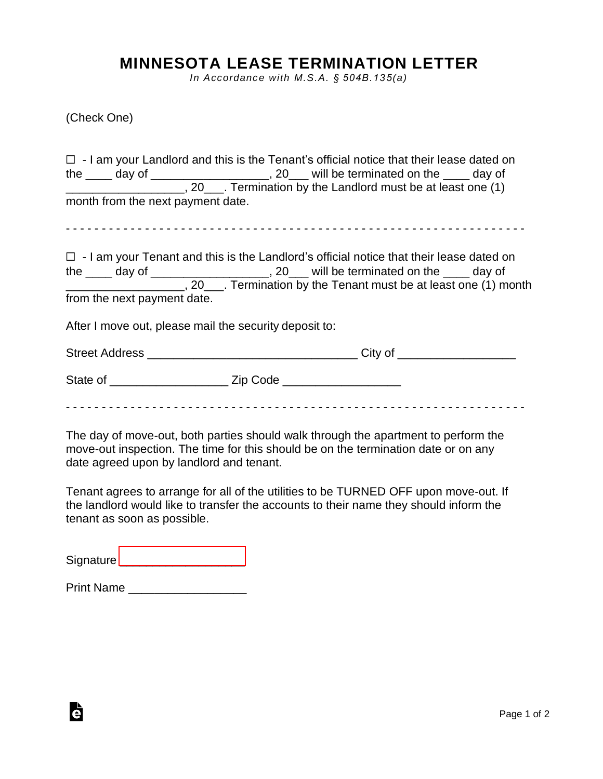## **MINNESOTA LEASE TERMINATION LETTER**

*In Accordance with M.S.A. § 504B.13 5(a)*

(Check One)

|                                                        | $\Box$ - I am your Landlord and this is the Tenant's official notice that their lease dated on                                         |
|--------------------------------------------------------|----------------------------------------------------------------------------------------------------------------------------------------|
|                                                        | the $\frac{1}{\sqrt{20}}$ day of $\frac{1}{\sqrt{20}}$ , $\frac{20}{\sqrt{20}}$ will be terminated on the $\frac{1}{\sqrt{20}}$ day of |
| month from the next payment date.                      |                                                                                                                                        |
|                                                        |                                                                                                                                        |
|                                                        | $\Box$ - I am your Tenant and this is the Landlord's official notice that their lease dated on                                         |
|                                                        | the ____ day of _____________________, 20___ will be terminated on the ____ day of                                                     |
|                                                        |                                                                                                                                        |
| from the next payment date.                            |                                                                                                                                        |
| After I move out, please mail the security deposit to: |                                                                                                                                        |
|                                                        |                                                                                                                                        |
|                                                        |                                                                                                                                        |
|                                                        |                                                                                                                                        |

The day of move-out, both parties should walk through the apartment to perform the move-out inspection. The time for this should be on the termination date or on any date agreed upon by landlord and tenant.

Tenant agrees to arrange for all of the utilities to be TURNED OFF upon move-out. If the landlord would like to transfer the accounts to their name they should inform the tenant as soon as possible.

Signature [\\_\\_\\_\\_\\_\\_\\_\\_\\_\\_\\_\\_\\_\\_\\_\\_\\_\\_\\_](https://esign.com)

| <b>Print Name</b> |  |
|-------------------|--|
|-------------------|--|

è